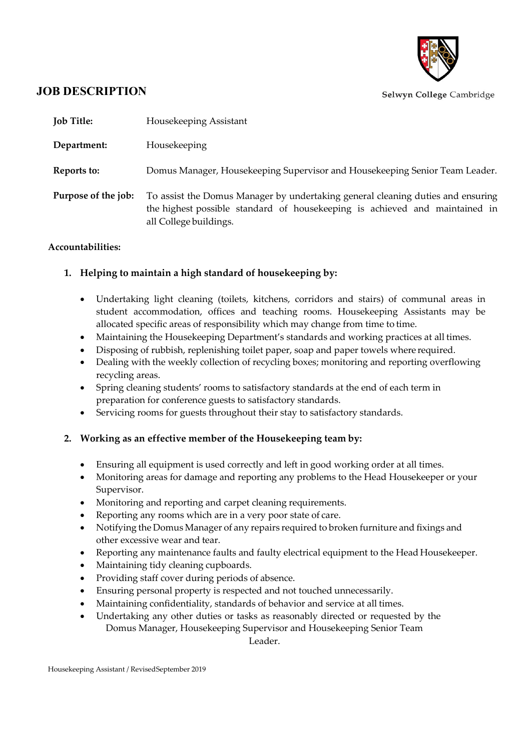

# **JOB DESCRIPTION**

| <b>Job Title:</b>   | Housekeeping Assistant                                                                                                                                                                   |
|---------------------|------------------------------------------------------------------------------------------------------------------------------------------------------------------------------------------|
| Department:         | Housekeeping                                                                                                                                                                             |
| Reports to:         | Domus Manager, Housekeeping Supervisor and Housekeeping Senior Team Leader.                                                                                                              |
| Purpose of the job: | To assist the Domus Manager by undertaking general cleaning duties and ensuring<br>the highest possible standard of housekeeping is achieved and maintained in<br>all College buildings. |

### **Accountabilities:**

## **1. Helping to maintain a high standard of housekeeping by:**

- Undertaking light cleaning (toilets, kitchens, corridors and stairs) of communal areas in student accommodation, offices and teaching rooms. Housekeeping Assistants may be allocated specific areas of responsibility which may change from time to time.
- Maintaining the Housekeeping Department's standards and working practices at all times.
- Disposing of rubbish, replenishing toilet paper, soap and paper towels where required.
- Dealing with the weekly collection of recycling boxes; monitoring and reporting overflowing recycling areas.
- Spring cleaning students' rooms to satisfactory standards at the end of each term in preparation for conference guests to satisfactory standards.
- Servicing rooms for guests throughout their stay to satisfactory standards.

### **2. Working as an effective member of the Housekeeping team by:**

- Ensuring all equipment is used correctly and left in good working order at all times.
- Monitoring areas for damage and reporting any problems to the Head Housekeeper or your Supervisor.
- Monitoring and reporting and carpet cleaning requirements.
- Reporting any rooms which are in a very poor state of care.
- Notifying the Domus Manager of any repairs required to broken furniture and fixings and other excessive wear and tear.
- Reporting any maintenance faults and faulty electrical equipment to the Head Housekeeper.
- Maintaining tidy cleaning cupboards.
- Providing staff cover during periods of absence.
- Ensuring personal property is respected and not touched unnecessarily.
- Maintaining confidentiality, standards of behavior and service at all times.
- Undertaking any other duties or tasks as reasonably directed or requested by the Domus Manager, Housekeeping Supervisor and Housekeeping Senior Team Leader.

Housekeeping Assistant / RevisedSeptember 2019